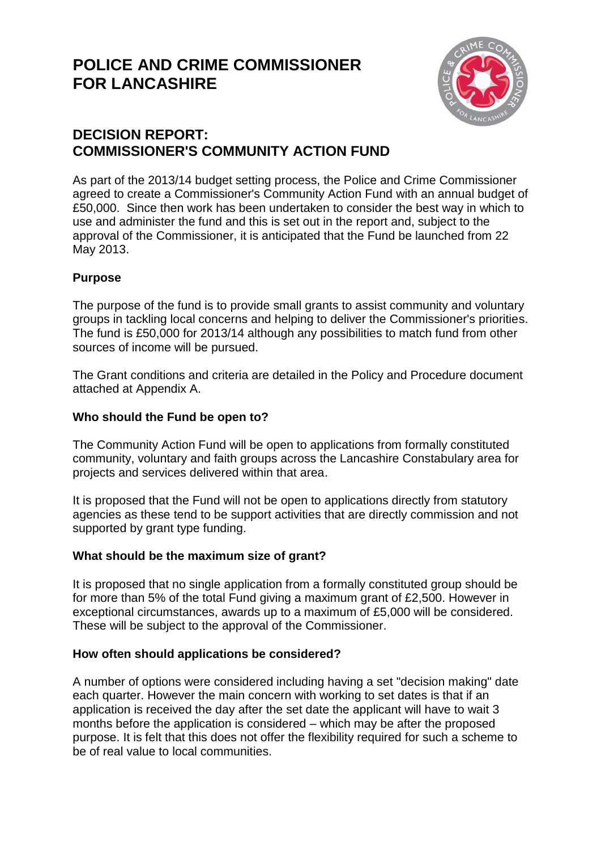# **POLICE AND CRIME COMMISSIONER FOR LANCASHIRE**



## **DECISION REPORT: COMMISSIONER'S COMMUNITY ACTION FUND**

As part of the 2013/14 budget setting process, the Police and Crime Commissioner agreed to create a Commissioner's Community Action Fund with an annual budget of £50,000. Since then work has been undertaken to consider the best way in which to use and administer the fund and this is set out in the report and, subject to the approval of the Commissioner, it is anticipated that the Fund be launched from 22 May 2013.

### **Purpose**

The purpose of the fund is to provide small grants to assist community and voluntary groups in tackling local concerns and helping to deliver the Commissioner's priorities. The fund is £50,000 for 2013/14 although any possibilities to match fund from other sources of income will be pursued.

The Grant conditions and criteria are detailed in the Policy and Procedure document attached at Appendix A.

#### **Who should the Fund be open to?**

The Community Action Fund will be open to applications from formally constituted community, voluntary and faith groups across the Lancashire Constabulary area for projects and services delivered within that area.

It is proposed that the Fund will not be open to applications directly from statutory agencies as these tend to be support activities that are directly commission and not supported by grant type funding.

#### **What should be the maximum size of grant?**

It is proposed that no single application from a formally constituted group should be for more than 5% of the total Fund giving a maximum grant of £2,500. However in exceptional circumstances, awards up to a maximum of £5,000 will be considered. These will be subject to the approval of the Commissioner.

#### **How often should applications be considered?**

A number of options were considered including having a set "decision making" date each quarter. However the main concern with working to set dates is that if an application is received the day after the set date the applicant will have to wait 3 months before the application is considered – which may be after the proposed purpose. It is felt that this does not offer the flexibility required for such a scheme to be of real value to local communities.